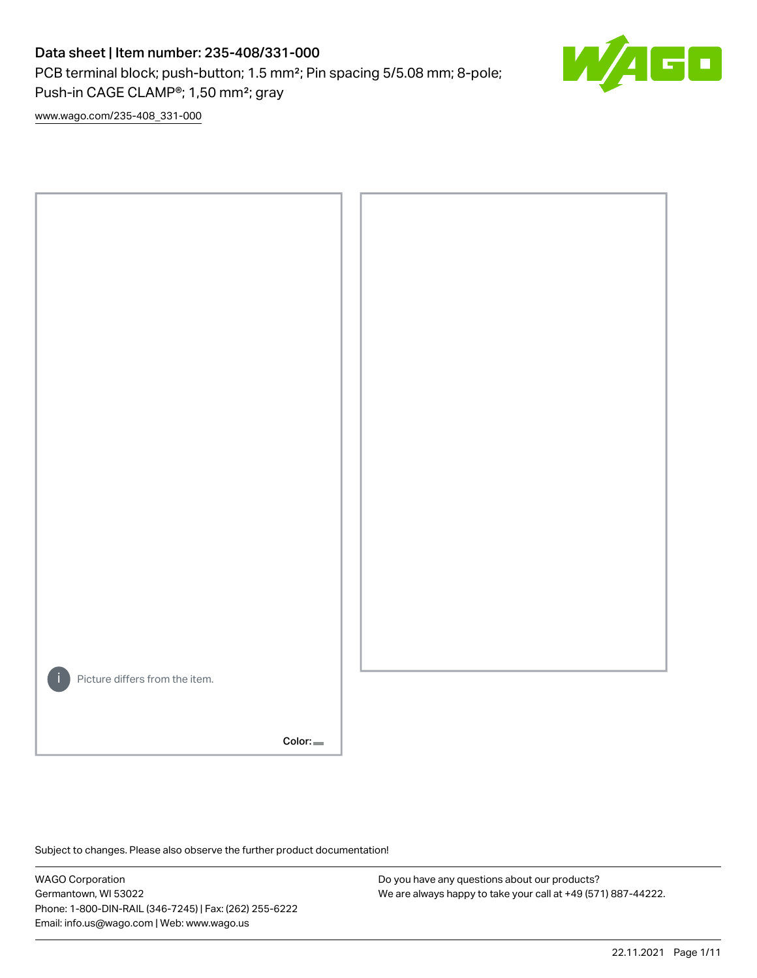## Data sheet | Item number: 235-408/331-000

PCB terminal block; push-button; 1.5 mm²; Pin spacing 5/5.08 mm; 8-pole; Push-in CAGE CLAMP®; 1,50 mm²; gray



[www.wago.com/235-408\\_331-000](http://www.wago.com/235-408_331-000)



Subject to changes. Please also observe the further product documentation!

WAGO Corporation Germantown, WI 53022 Phone: 1-800-DIN-RAIL (346-7245) | Fax: (262) 255-6222 Email: info.us@wago.com | Web: www.wago.us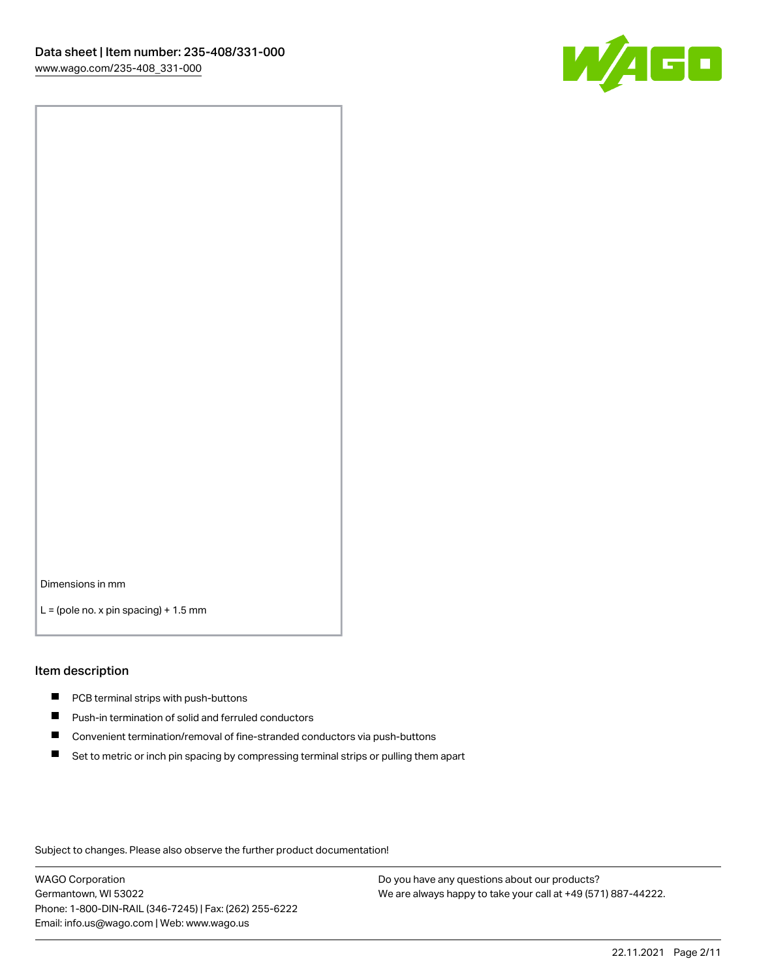

Dimensions in mm

 $L =$  (pole no. x pin spacing) + 1.5 mm

#### Item description

- **PCB terminal strips with push-buttons**
- **Push-in termination of solid and ferruled conductors**
- $\blacksquare$ Convenient termination/removal of fine-stranded conductors via push-buttons
- Set to metric or inch pin spacing by compressing terminal strips or pulling them apart

Subject to changes. Please also observe the further product documentation!

WAGO Corporation Germantown, WI 53022 Phone: 1-800-DIN-RAIL (346-7245) | Fax: (262) 255-6222 Email: info.us@wago.com | Web: www.wago.us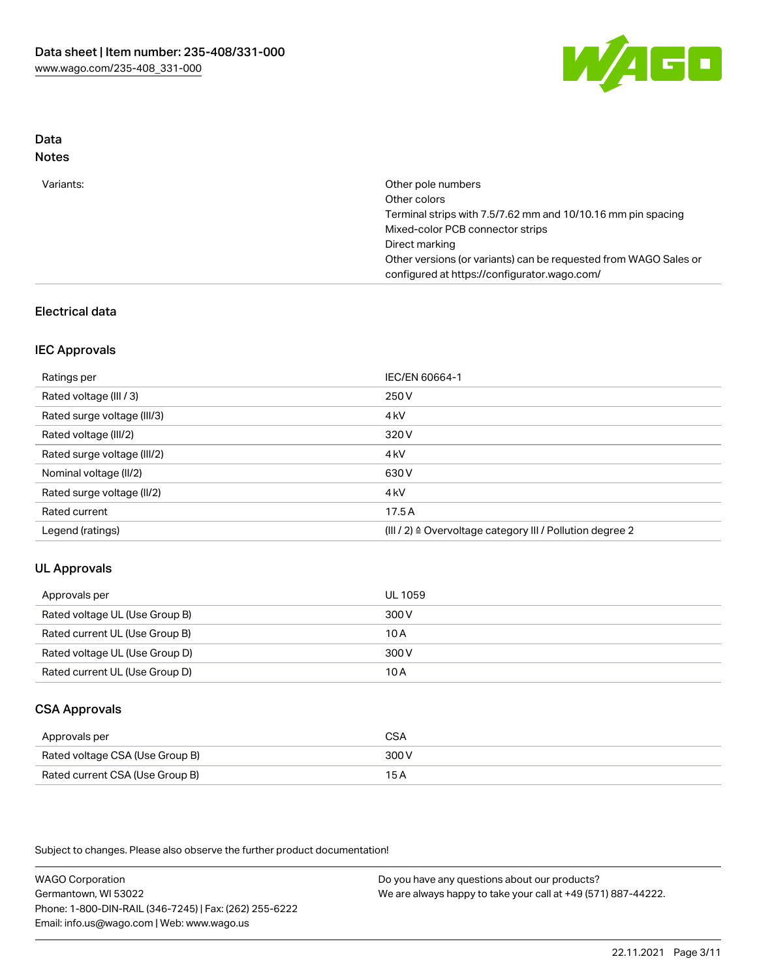

# Data

| Direct marking<br>Other versions (or variants) can be requested from WAGO Sales or<br>configured at https://configurator.wago.com/ | Variants: | Other pole numbers<br>Other colors<br>Terminal strips with 7.5/7.62 mm and 10/10.16 mm pin spacing<br>Mixed-color PCB connector strips |
|------------------------------------------------------------------------------------------------------------------------------------|-----------|----------------------------------------------------------------------------------------------------------------------------------------|
|                                                                                                                                    |           |                                                                                                                                        |

## Electrical data

### IEC Approvals

| Ratings per                 | IEC/EN 60664-1                                                        |
|-----------------------------|-----------------------------------------------------------------------|
| Rated voltage (III / 3)     | 250 V                                                                 |
| Rated surge voltage (III/3) | 4 <sub>k</sub> V                                                      |
| Rated voltage (III/2)       | 320 V                                                                 |
| Rated surge voltage (III/2) | 4 <sub>k</sub> V                                                      |
| Nominal voltage (II/2)      | 630 V                                                                 |
| Rated surge voltage (II/2)  | 4 <sub>k</sub> V                                                      |
| Rated current               | 17.5A                                                                 |
| Legend (ratings)            | $(III / 2)$ $\triangle$ Overvoltage category III / Pollution degree 2 |

### UL Approvals

| Approvals per                  | UL 1059 |
|--------------------------------|---------|
| Rated voltage UL (Use Group B) | 300 V   |
| Rated current UL (Use Group B) | 10 A    |
| Rated voltage UL (Use Group D) | 300 V   |
| Rated current UL (Use Group D) | 10 A    |

## CSA Approvals

| Approvals per                   | CSA   |
|---------------------------------|-------|
| Rated voltage CSA (Use Group B) | 300 V |
| Rated current CSA (Use Group B) | 15 A  |

Subject to changes. Please also observe the further product documentation!

WAGO Corporation Germantown, WI 53022 Phone: 1-800-DIN-RAIL (346-7245) | Fax: (262) 255-6222 Email: info.us@wago.com | Web: www.wago.us Do you have any questions about our products? We are always happy to take your call at +49 (571) 887-44222.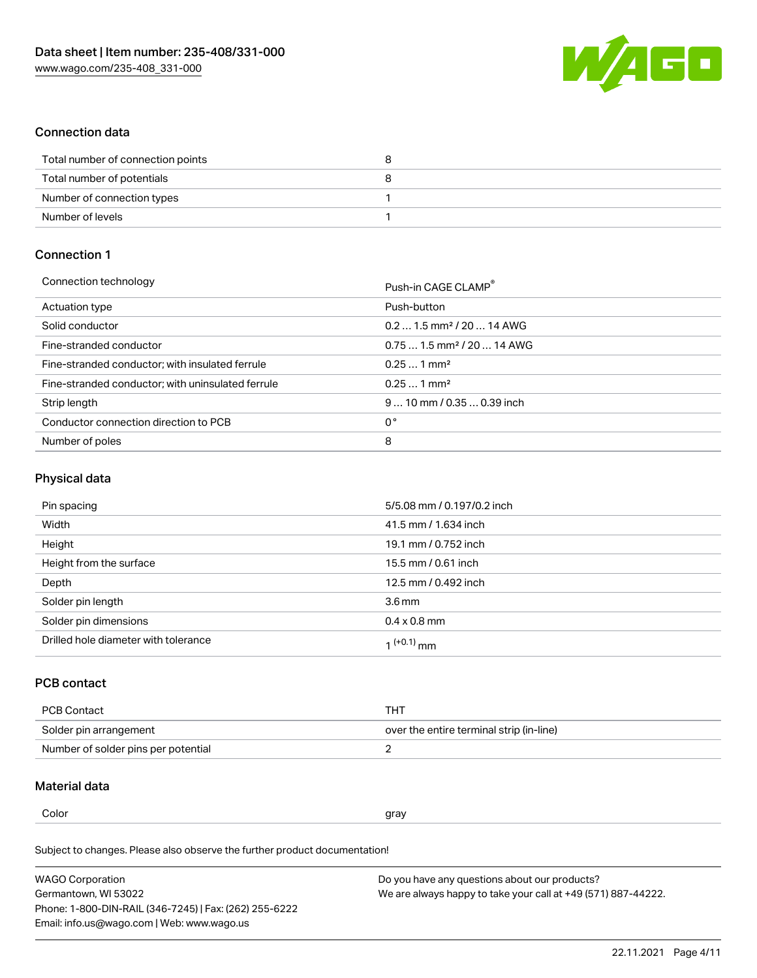

### Connection data

| Total number of connection points |  |
|-----------------------------------|--|
| Total number of potentials        |  |
| Number of connection types        |  |
| Number of levels                  |  |

## Connection 1

| Connection technology                             | Push-in CAGE CLAMP®                     |
|---------------------------------------------------|-----------------------------------------|
| Actuation type                                    | Push-button                             |
| Solid conductor                                   | $0.21.5$ mm <sup>2</sup> / 20  14 AWG   |
| Fine-stranded conductor                           | $0.75$ 1.5 mm <sup>2</sup> / 20  14 AWG |
| Fine-stranded conductor; with insulated ferrule   | $0.251$ mm <sup>2</sup>                 |
| Fine-stranded conductor; with uninsulated ferrule | $0.251$ mm <sup>2</sup>                 |
| Strip length                                      | $910$ mm / 0.35  0.39 inch              |
| Conductor connection direction to PCB             | 0°                                      |
| Number of poles                                   | 8                                       |
|                                                   |                                         |

## Physical data

| Pin spacing                          | 5/5.08 mm / 0.197/0.2 inch |
|--------------------------------------|----------------------------|
| Width                                | 41.5 mm / 1.634 inch       |
| Height                               | 19.1 mm / 0.752 inch       |
| Height from the surface              | 15.5 mm / 0.61 inch        |
| Depth                                | 12.5 mm / 0.492 inch       |
| Solder pin length                    | 3.6 <sub>mm</sub>          |
| Solder pin dimensions                | $0.4 \times 0.8$ mm        |
| Drilled hole diameter with tolerance | 1 <sup>(+0.1)</sup> mm     |

### PCB contact

| PCB Contact                         | тнт                                      |
|-------------------------------------|------------------------------------------|
| Solder pin arrangement              | over the entire terminal strip (in-line) |
| Number of solder pins per potential |                                          |

### Material data

Color and the color of the color of the color of the color of the color of the color of the color of the color

Subject to changes. Please also observe the further product documentation! Material group I

| <b>WAGO Corporation</b>                                | Do you have any questions about our products?                 |
|--------------------------------------------------------|---------------------------------------------------------------|
| Germantown, WI 53022                                   | We are always happy to take your call at +49 (571) 887-44222. |
| Phone: 1-800-DIN-RAIL (346-7245)   Fax: (262) 255-6222 |                                                               |
| Email: info.us@wago.com   Web: www.wago.us             |                                                               |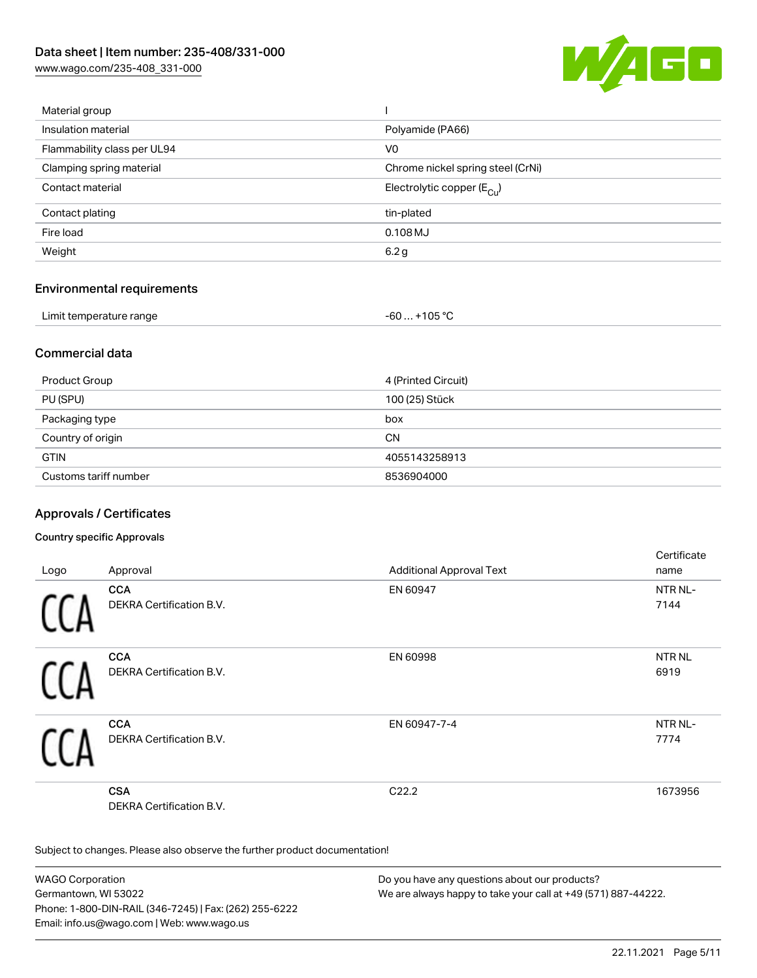[www.wago.com/235-408\\_331-000](http://www.wago.com/235-408_331-000)



| Material group              |                                       |
|-----------------------------|---------------------------------------|
| Insulation material         | Polyamide (PA66)                      |
| Flammability class per UL94 | V0                                    |
| Clamping spring material    | Chrome nickel spring steel (CrNi)     |
| Contact material            | Electrolytic copper $(E_{\text{Cl}})$ |
| Contact plating             | tin-plated                            |
| Fire load                   | $0.108$ MJ                            |
| Weight                      | 6.2 g                                 |
|                             |                                       |

### Environmental requirements

| Limit temperature range | +105 $^{\circ}$ C |
|-------------------------|-------------------|
|                         | - 60…             |

### Commercial data

| Product Group         | 4 (Printed Circuit) |
|-----------------------|---------------------|
| PU (SPU)              | 100 (25) Stück      |
| Packaging type        | box                 |
| Country of origin     | <b>CN</b>           |
| <b>GTIN</b>           | 4055143258913       |
| Customs tariff number | 8536904000          |

## Approvals / Certificates

#### Country specific Approvals

|      |                                 |                                 | Certificate       |
|------|---------------------------------|---------------------------------|-------------------|
| Logo | Approval                        | <b>Additional Approval Text</b> | name              |
|      | <b>CCA</b>                      | EN 60947                        | NTR NL-           |
|      | <b>DEKRA Certification B.V.</b> |                                 | 7144              |
|      | <b>CCA</b>                      | EN 60998                        | NTR <sub>NL</sub> |
|      | DEKRA Certification B.V.        |                                 | 6919              |
|      | <b>CCA</b>                      | EN 60947-7-4                    | NTR NL-           |
|      | DEKRA Certification B.V.        |                                 | 7774              |
|      | <b>CSA</b>                      | C22.2                           | 1673956           |
|      | <b>DEKRA Certification B.V.</b> |                                 |                   |

Subject to changes. Please also observe the further product documentation!

WAGO Corporation Germantown, WI 53022 Phone: 1-800-DIN-RAIL (346-7245) | Fax: (262) 255-6222 Email: info.us@wago.com | Web: www.wago.us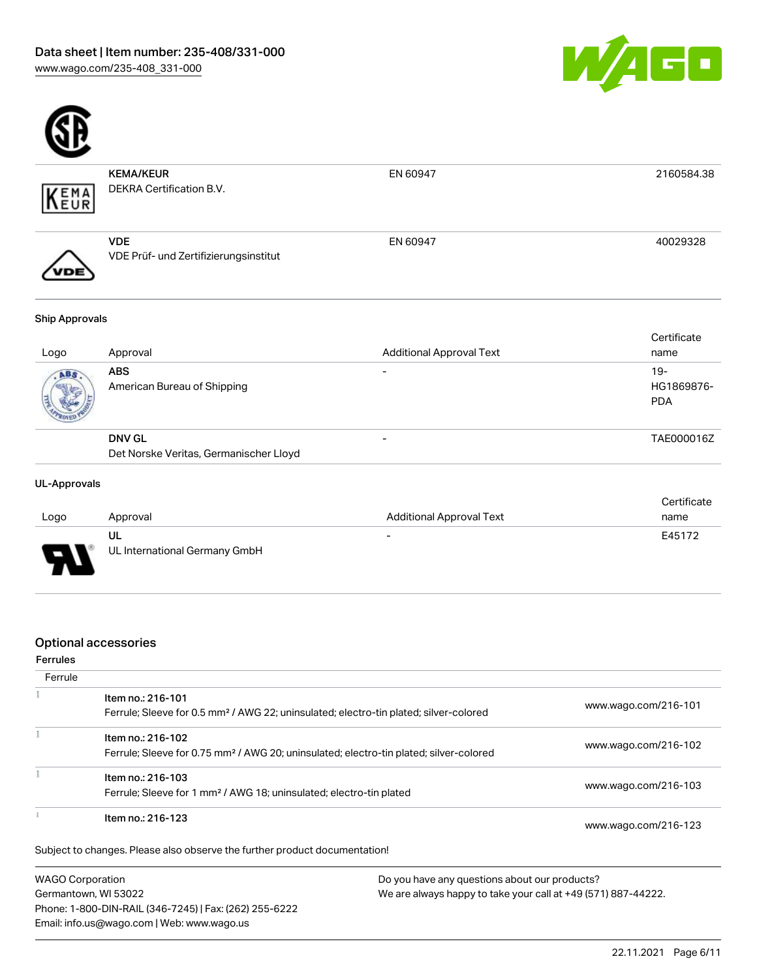



| Logo                  | Approval                                            | <b>Additional Approval Text</b> | Certificate<br>name |
|-----------------------|-----------------------------------------------------|---------------------------------|---------------------|
| <b>Ship Approvals</b> |                                                     |                                 |                     |
| 'DE                   | <b>VDE</b><br>VDE Prüf- und Zertifizierungsinstitut | EN 60947                        | 40029328            |
| EMA<br>FUR            | <b>KEMA/KEUR</b><br>DEKRA Certification B.V.        | EN 60947                        | 2160584.38          |

| ABS<br>$\overline{\phantom{0}}$<br>ABS<br>American Bureau of Shipping | Tidlile    |
|-----------------------------------------------------------------------|------------|
|                                                                       | $19-$      |
|                                                                       | HG1869876- |
|                                                                       | <b>PDA</b> |
|                                                                       |            |
| <b>DNV GL</b><br>$\overline{\phantom{0}}$                             | TAE000016Z |
|                                                                       |            |
| Det Norske Veritas, Germanischer Lloyd                                |            |

### UL-Approvals

|                          |                               |                                 | Certificate |
|--------------------------|-------------------------------|---------------------------------|-------------|
| Logo                     | Approval                      | <b>Additional Approval Text</b> | name        |
|                          | UL                            | $\overline{\phantom{0}}$        | E45172      |
| $\overline{\phantom{0}}$ | UL International Germany GmbH |                                 |             |

### Optional accessories

### Ferrules

| Ferrule |                                                                                                                         |                      |
|---------|-------------------------------------------------------------------------------------------------------------------------|----------------------|
|         | Item no.: 216-101<br>Ferrule; Sleeve for 0.5 mm <sup>2</sup> / AWG 22; uninsulated; electro-tin plated; silver-colored  | www.wago.com/216-101 |
|         | Item no.: 216-102<br>Ferrule; Sleeve for 0.75 mm <sup>2</sup> / AWG 20; uninsulated; electro-tin plated; silver-colored | www.wago.com/216-102 |
|         | Item no.: 216-103<br>Ferrule; Sleeve for 1 mm <sup>2</sup> / AWG 18; uninsulated; electro-tin plated                    | www.wago.com/216-103 |
|         | Item no.: 216-123                                                                                                       | www.wago.com/216-123 |
|         | Subject to changes. Please also observe the further product documentation!                                              |                      |
|         | <b>WAGO Corporation</b><br>Do you have any questions about our products?                                                |                      |

WAGO Corporation Germantown, WI 53022 Phone: 1-800-DIN-RAIL (346-7245) | Fax: (262) 255-6222 Email: info.us@wago.com | Web: www.wago.us

ny questions about o We are always happy to take your call at +49 (571) 887-44222.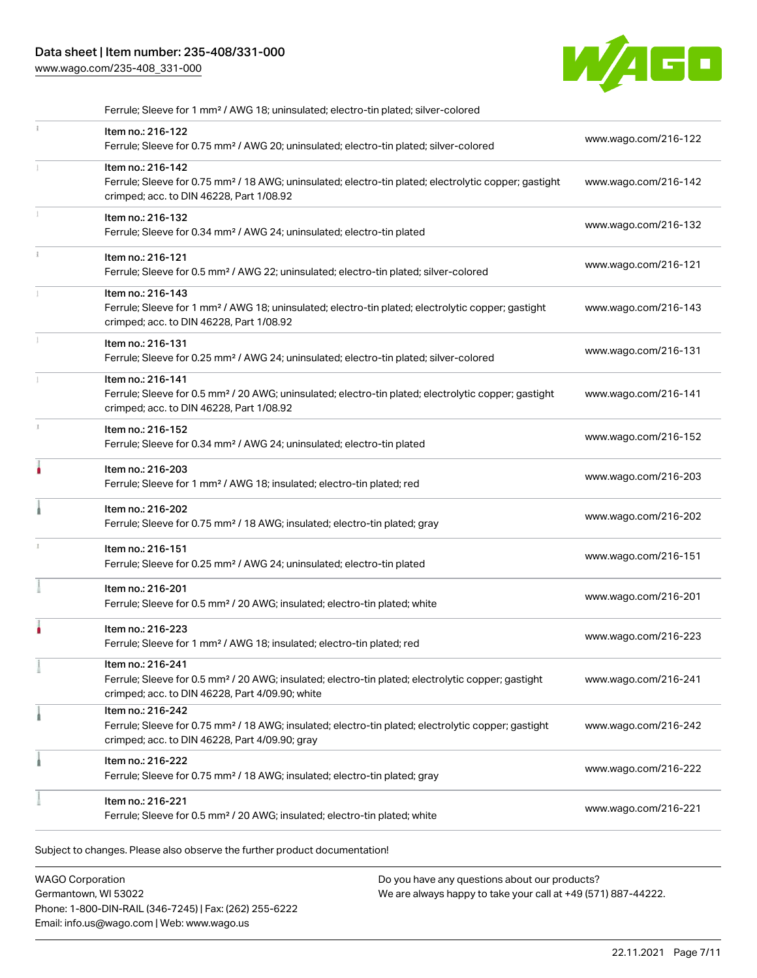## Data sheet | Item number: 235-408/331-000

[www.wago.com/235-408\\_331-000](http://www.wago.com/235-408_331-000)



| Ferrule; Sleeve for 1 mm <sup>2</sup> / AWG 18; uninsulated; electro-tin plated; silver-colored                                                                                        |                      |
|----------------------------------------------------------------------------------------------------------------------------------------------------------------------------------------|----------------------|
| Item no.: 216-122<br>Ferrule; Sleeve for 0.75 mm <sup>2</sup> / AWG 20; uninsulated; electro-tin plated; silver-colored                                                                | www.wago.com/216-122 |
| Item no.: 216-142<br>Ferrule; Sleeve for 0.75 mm <sup>2</sup> / 18 AWG; uninsulated; electro-tin plated; electrolytic copper; gastight<br>crimped; acc. to DIN 46228, Part 1/08.92     | www.wago.com/216-142 |
| Item no.: 216-132<br>Ferrule; Sleeve for 0.34 mm <sup>2</sup> / AWG 24; uninsulated; electro-tin plated                                                                                | www.wago.com/216-132 |
| Item no.: 216-121<br>Ferrule; Sleeve for 0.5 mm <sup>2</sup> / AWG 22; uninsulated; electro-tin plated; silver-colored                                                                 | www.wago.com/216-121 |
| Item no.: 216-143<br>Ferrule; Sleeve for 1 mm <sup>2</sup> / AWG 18; uninsulated; electro-tin plated; electrolytic copper; gastight<br>crimped; acc. to DIN 46228, Part 1/08.92        | www.wago.com/216-143 |
| Item no.: 216-131<br>Ferrule; Sleeve for 0.25 mm <sup>2</sup> / AWG 24; uninsulated; electro-tin plated; silver-colored                                                                | www.wago.com/216-131 |
| Item no.: 216-141<br>Ferrule; Sleeve for 0.5 mm <sup>2</sup> / 20 AWG; uninsulated; electro-tin plated; electrolytic copper; gastight<br>crimped; acc. to DIN 46228, Part 1/08.92      | www.wago.com/216-141 |
| Item no.: 216-152<br>Ferrule; Sleeve for 0.34 mm <sup>2</sup> / AWG 24; uninsulated; electro-tin plated                                                                                | www.wago.com/216-152 |
| Item no.: 216-203<br>Ferrule; Sleeve for 1 mm <sup>2</sup> / AWG 18; insulated; electro-tin plated; red                                                                                | www.wago.com/216-203 |
| Item no.: 216-202<br>Ferrule; Sleeve for 0.75 mm <sup>2</sup> / 18 AWG; insulated; electro-tin plated; gray                                                                            | www.wago.com/216-202 |
| Item no.: 216-151<br>Ferrule; Sleeve for 0.25 mm <sup>2</sup> / AWG 24; uninsulated; electro-tin plated                                                                                | www.wago.com/216-151 |
| Item no.: 216-201<br>Ferrule; Sleeve for 0.5 mm <sup>2</sup> / 20 AWG; insulated; electro-tin plated; white                                                                            | www.wago.com/216-201 |
| Item no.: 216-223<br>Ferrule; Sleeve for 1 mm <sup>2</sup> / AWG 18; insulated; electro-tin plated; red                                                                                | www.wago.com/216-223 |
| ltem no.: 216-241<br>Ferrule; Sleeve for 0.5 mm <sup>2</sup> / 20 AWG; insulated; electro-tin plated; electrolytic copper; gastight<br>crimped; acc. to DIN 46228, Part 4/09.90; white | www.wago.com/216-241 |
| Item no.: 216-242<br>Ferrule; Sleeve for 0.75 mm <sup>2</sup> / 18 AWG; insulated; electro-tin plated; electrolytic copper; gastight<br>crimped; acc. to DIN 46228, Part 4/09.90; gray | www.wago.com/216-242 |
| Item no.: 216-222<br>Ferrule; Sleeve for 0.75 mm <sup>2</sup> / 18 AWG; insulated; electro-tin plated; gray                                                                            | www.wago.com/216-222 |
| Item no.: 216-221<br>Ferrule; Sleeve for 0.5 mm <sup>2</sup> / 20 AWG; insulated; electro-tin plated; white                                                                            | www.wago.com/216-221 |

Subject to changes. Please also observe the further product documentation!

WAGO Corporation Germantown, WI 53022 Phone: 1-800-DIN-RAIL (346-7245) | Fax: (262) 255-6222 Email: info.us@wago.com | Web: www.wago.us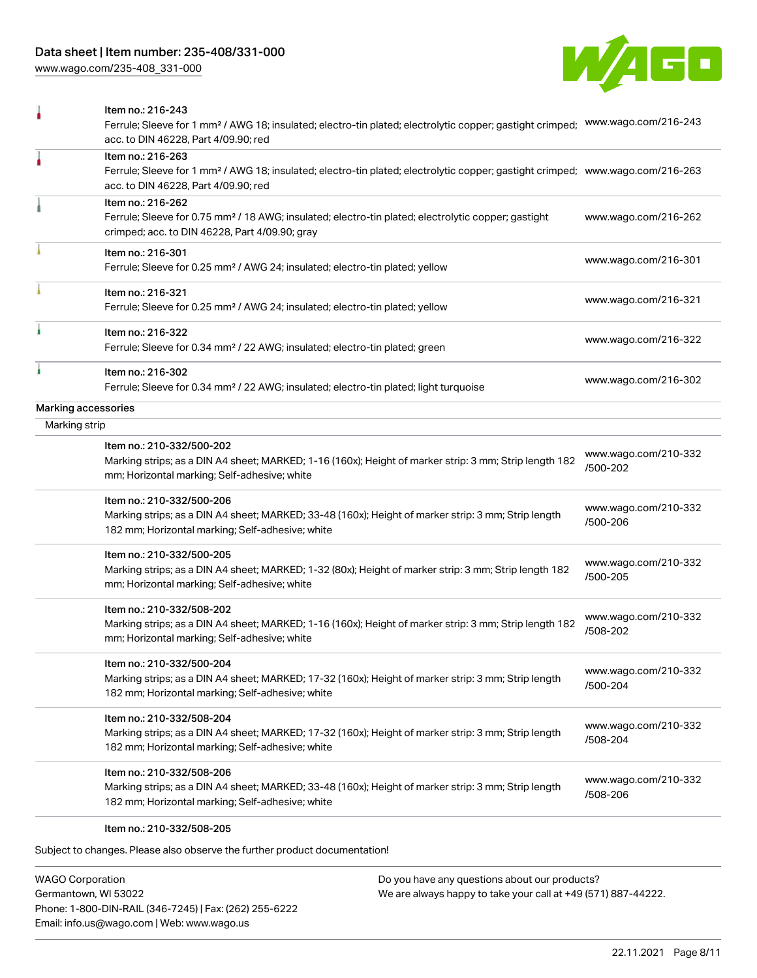[www.wago.com/235-408\\_331-000](http://www.wago.com/235-408_331-000)



|                     | Item no.: 216-243<br>Ferrule; Sleeve for 1 mm <sup>2</sup> / AWG 18; insulated; electro-tin plated; electrolytic copper; gastight crimped;<br>acc. to DIN 46228, Part 4/09.90; red                      | www.wago.com/216-243             |
|---------------------|---------------------------------------------------------------------------------------------------------------------------------------------------------------------------------------------------------|----------------------------------|
|                     | Item no.: 216-263<br>Ferrule; Sleeve for 1 mm <sup>2</sup> / AWG 18; insulated; electro-tin plated; electrolytic copper; gastight crimped; www.wago.com/216-263<br>acc. to DIN 46228, Part 4/09.90; red |                                  |
|                     | Item no.: 216-262<br>Ferrule; Sleeve for 0.75 mm <sup>2</sup> / 18 AWG; insulated; electro-tin plated; electrolytic copper; gastight<br>crimped; acc. to DIN 46228, Part 4/09.90; gray                  | www.wago.com/216-262             |
|                     | Item no.: 216-301<br>Ferrule; Sleeve for 0.25 mm <sup>2</sup> / AWG 24; insulated; electro-tin plated; yellow                                                                                           | www.wago.com/216-301             |
|                     | Item no.: 216-321<br>Ferrule; Sleeve for 0.25 mm <sup>2</sup> / AWG 24; insulated; electro-tin plated; yellow                                                                                           | www.wago.com/216-321             |
|                     | Item no.: 216-322<br>Ferrule; Sleeve for 0.34 mm <sup>2</sup> / 22 AWG; insulated; electro-tin plated; green                                                                                            | www.wago.com/216-322             |
|                     | Item no.: 216-302<br>Ferrule; Sleeve for 0.34 mm <sup>2</sup> / 22 AWG; insulated; electro-tin plated; light turquoise                                                                                  | www.wago.com/216-302             |
| Marking accessories |                                                                                                                                                                                                         |                                  |
| Marking strip       |                                                                                                                                                                                                         |                                  |
|                     | Item no.: 210-332/500-202<br>Marking strips; as a DIN A4 sheet; MARKED; 1-16 (160x); Height of marker strip: 3 mm; Strip length 182<br>mm; Horizontal marking; Self-adhesive; white                     | www.wago.com/210-332<br>/500-202 |
|                     | Item no.: 210-332/500-206<br>Marking strips; as a DIN A4 sheet; MARKED; 33-48 (160x); Height of marker strip: 3 mm; Strip length<br>182 mm; Horizontal marking; Self-adhesive; white                    | www.wago.com/210-332<br>/500-206 |
|                     | Item no.: 210-332/500-205<br>Marking strips; as a DIN A4 sheet; MARKED; 1-32 (80x); Height of marker strip: 3 mm; Strip length 182<br>mm; Horizontal marking; Self-adhesive; white                      | www.wago.com/210-332<br>/500-205 |
|                     | Item no.: 210-332/508-202<br>Marking strips; as a DIN A4 sheet; MARKED; 1-16 (160x); Height of marker strip: 3 mm; Strip length 182<br>mm; Horizontal marking; Self-adhesive; white                     | www.wago.com/210-332<br>/508-202 |
|                     | Item no.: 210-332/500-204<br>Marking strips; as a DIN A4 sheet; MARKED; 17-32 (160x); Height of marker strip: 3 mm; Strip length<br>182 mm; Horizontal marking; Self-adhesive; white                    | www.wago.com/210-332<br>/500-204 |
|                     | Item no.: 210-332/508-204<br>Marking strips; as a DIN A4 sheet; MARKED; 17-32 (160x); Height of marker strip: 3 mm; Strip length<br>182 mm; Horizontal marking; Self-adhesive; white                    | www.wago.com/210-332<br>/508-204 |
|                     | Item no.: 210-332/508-206<br>Marking strips; as a DIN A4 sheet; MARKED; 33-48 (160x); Height of marker strip: 3 mm; Strip length<br>182 mm; Horizontal marking; Self-adhesive; white                    | www.wago.com/210-332<br>/508-206 |
|                     | Item no.: 210-332/508-205                                                                                                                                                                               |                                  |

Subject to changes. Please also observe the further product documentation!

WAGO Corporation Germantown, WI 53022 Phone: 1-800-DIN-RAIL (346-7245) | Fax: (262) 255-6222 Email: info.us@wago.com | Web: www.wago.us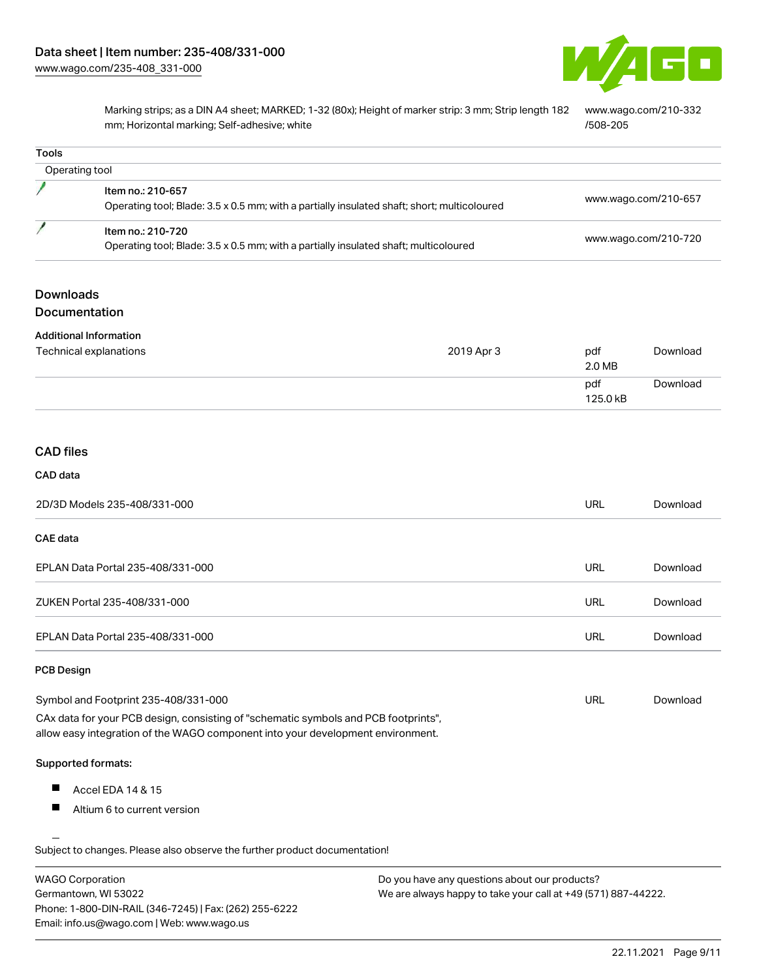

Marking strips; as a DIN A4 sheet; MARKED; 1-32 (80x); Height of marker strip: 3 mm; Strip length 182 mm; Horizontal marking; Self-adhesive; white [www.wago.com/210-332](http://www.wago.com/210-332/508-205) [/508-205](http://www.wago.com/210-332/508-205)

| <b>Tools</b>      |                                                                                                                                                                        |                      |          |
|-------------------|------------------------------------------------------------------------------------------------------------------------------------------------------------------------|----------------------|----------|
| Operating tool    |                                                                                                                                                                        |                      |          |
|                   | Item no.: 210-657<br>Operating tool; Blade: 3.5 x 0.5 mm; with a partially insulated shaft; short; multicoloured                                                       | www.wago.com/210-657 |          |
|                   | Item no.: 210-720<br>Operating tool; Blade: 3.5 x 0.5 mm; with a partially insulated shaft; multicoloured                                                              | www.wago.com/210-720 |          |
| <b>Downloads</b>  |                                                                                                                                                                        |                      |          |
| Documentation     |                                                                                                                                                                        |                      |          |
|                   | <b>Additional Information</b>                                                                                                                                          |                      |          |
|                   | Technical explanations<br>2019 Apr 3                                                                                                                                   | pdf<br>2.0 MB        | Download |
|                   |                                                                                                                                                                        | pdf<br>125.0 kB      | Download |
| <b>CAD files</b>  |                                                                                                                                                                        |                      |          |
| CAD data          |                                                                                                                                                                        |                      |          |
|                   | 2D/3D Models 235-408/331-000                                                                                                                                           | URL                  | Download |
| <b>CAE</b> data   |                                                                                                                                                                        |                      |          |
|                   | EPLAN Data Portal 235-408/331-000                                                                                                                                      | <b>URL</b>           | Download |
|                   | ZUKEN Portal 235-408/331-000                                                                                                                                           | URL                  | Download |
|                   | EPLAN Data Portal 235-408/331-000                                                                                                                                      | <b>URL</b>           | Download |
| <b>PCB Design</b> |                                                                                                                                                                        |                      |          |
|                   | Symbol and Footprint 235-408/331-000                                                                                                                                   | URL                  | Download |
|                   | CAx data for your PCB design, consisting of "schematic symbols and PCB footprints",<br>allow easy integration of the WAGO component into your development environment. |                      |          |
|                   | Supported formats:                                                                                                                                                     |                      |          |
| Ш                 | Accel EDA 14 & 15                                                                                                                                                      |                      |          |
| ш                 | Altium 6 to current version                                                                                                                                            |                      |          |
|                   | Subject to changes. Please also observe the further product documentation!                                                                                             |                      |          |

WAGO Corporation Germantown, WI 53022 Phone: 1-800-DIN-RAIL (346-7245) | Fax: (262) 255-6222 Email: info.us@wago.com | Web: www.wago.us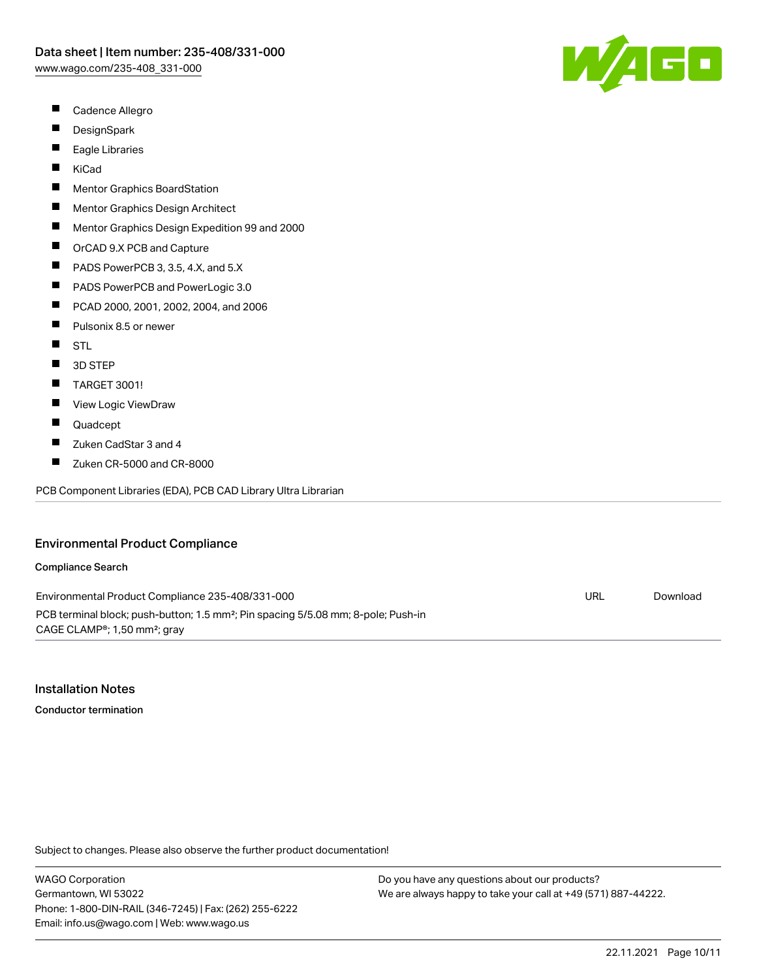- $\blacksquare$ Cadence Allegro
- $\blacksquare$ **DesignSpark**
- $\blacksquare$ Eagle Libraries
- $\blacksquare$ KiCad
- П Mentor Graphics BoardStation
- $\blacksquare$ Mentor Graphics Design Architect
- $\blacksquare$ Mentor Graphics Design Expedition 99 and 2000
- $\blacksquare$ OrCAD 9.X PCB and Capture
- $\blacksquare$ PADS PowerPCB 3, 3.5, 4.X, and 5.X
- $\blacksquare$ PADS PowerPCB and PowerLogic 3.0
- $\blacksquare$ PCAD 2000, 2001, 2002, 2004, and 2006
- $\blacksquare$ Pulsonix 8.5 or newer
- $\blacksquare$ STL
- $\blacksquare$ 3D STEP
- П TARGET 3001!
- П View Logic ViewDraw
- П Quadcept
- $\blacksquare$ Zuken CadStar 3 and 4
- $\blacksquare$ Zuken CR-5000 and CR-8000

PCB Component Libraries (EDA), PCB CAD Library Ultra Librarian

#### Environmental Product Compliance

#### Compliance Search

Environmental Product Compliance 235-408/331-000 PCB terminal block; push-button; 1.5 mm²; Pin spacing 5/5.08 mm; 8-pole; Push-in CAGE CLAMP®; 1,50 mm²; gray URL [Download](https://www.wago.com/global/d/ComplianceLinkMediaContainer_235-408_331-000)

#### Installation Notes

Conductor termination

Subject to changes. Please also observe the further product documentation!

WAGO Corporation Germantown, WI 53022 Phone: 1-800-DIN-RAIL (346-7245) | Fax: (262) 255-6222 Email: info.us@wago.com | Web: www.wago.us